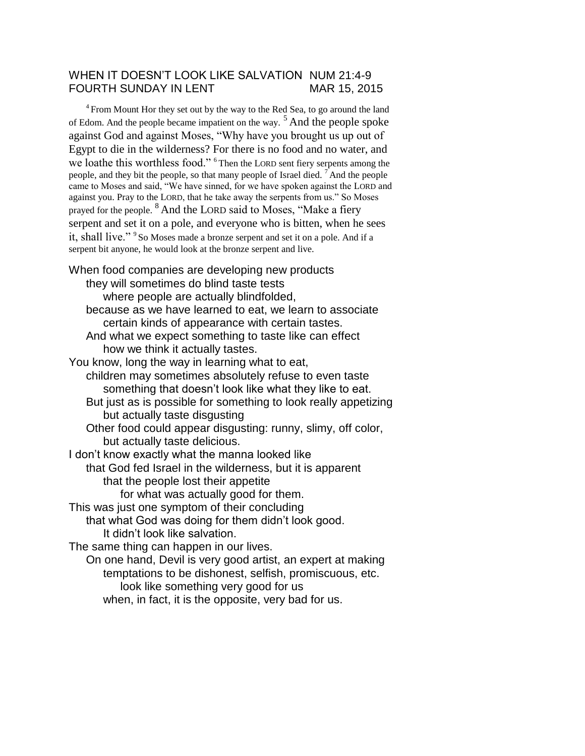## WHEN IT DOESN'T LOOK LIKE SALVATION NUM 21:4-9 FOURTH SUNDAY IN LENT MAR 15, 2015

 $4$  From Mount Hor they set out by the way to the Red Sea, to go around the land of Edom. And the people became impatient on the way.  $5$  And the people spoke against God and against Moses, "Why have you brought us up out of Egypt to die in the wilderness? For there is no food and no water, and we loathe this worthless food." <sup>6</sup>Then the LORD sent fiery serpents among the people, and they bit the people, so that many people of Israel died.  $<sup>7</sup>$  And the people</sup> came to Moses and said, "We have sinned, for we have spoken against the LORD and against you. Pray to the LORD, that he take away the serpents from us." So Moses prayed for the people. <sup>8</sup>And the LORD said to Moses, "Make a fiery serpent and set it on a pole, and everyone who is bitten, when he sees it, shall live."<sup>9</sup>So Moses made a bronze serpent and set it on a pole. And if a serpent bit anyone, he would look at the bronze serpent and live.

When food companies are developing new products they will sometimes do blind taste tests where people are actually blindfolded, because as we have learned to eat, we learn to associate certain kinds of appearance with certain tastes. And what we expect something to taste like can effect how we think it actually tastes. You know, long the way in learning what to eat, children may sometimes absolutely refuse to even taste something that doesn't look like what they like to eat. But just as is possible for something to look really appetizing but actually taste disgusting Other food could appear disgusting: runny, slimy, off color, but actually taste delicious. I don't know exactly what the manna looked like that God fed Israel in the wilderness, but it is apparent that the people lost their appetite for what was actually good for them. This was just one symptom of their concluding that what God was doing for them didn't look good. It didn't look like salvation. The same thing can happen in our lives. On one hand, Devil is very good artist, an expert at making temptations to be dishonest, selfish, promiscuous, etc.

look like something very good for us

when, in fact, it is the opposite, very bad for us.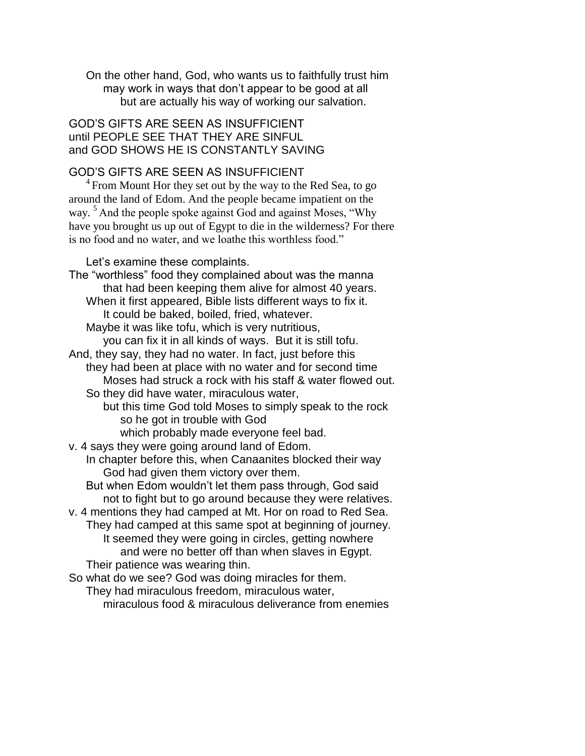On the other hand, God, who wants us to faithfully trust him may work in ways that don't appear to be good at all but are actually his way of working our salvation.

GOD'S GIFTS ARE SEEN AS INSUFFICIENT until PEOPLE SEE THAT THEY ARE SINFUL and GOD SHOWS HE IS CONSTANTLY SAVING

## GOD'S GIFTS ARE SEEN AS INSUFFICIENT

 $4$  From Mount Hor they set out by the way to the Red Sea, to go around the land of Edom. And the people became impatient on the way. <sup>5</sup> And the people spoke against God and against Moses, "Why" have you brought us up out of Egypt to die in the wilderness? For there is no food and no water, and we loathe this worthless food."

Let's examine these complaints.

The "worthless" food they complained about was the manna that had been keeping them alive for almost 40 years. When it first appeared, Bible lists different ways to fix it. It could be baked, boiled, fried, whatever. Maybe it was like tofu, which is very nutritious, you can fix it in all kinds of ways. But it is still tofu. And, they say, they had no water. In fact, just before this they had been at place with no water and for second time Moses had struck a rock with his staff & water flowed out. So they did have water, miraculous water, but this time God told Moses to simply speak to the rock so he got in trouble with God which probably made everyone feel bad. v. 4 says they were going around land of Edom. In chapter before this, when Canaanites blocked their way God had given them victory over them. But when Edom wouldn't let them pass through, God said not to fight but to go around because they were relatives. v. 4 mentions they had camped at Mt. Hor on road to Red Sea. They had camped at this same spot at beginning of journey. It seemed they were going in circles, getting nowhere and were no better off than when slaves in Egypt. Their patience was wearing thin. So what do we see? God was doing miracles for them.

They had miraculous freedom, miraculous water, miraculous food & miraculous deliverance from enemies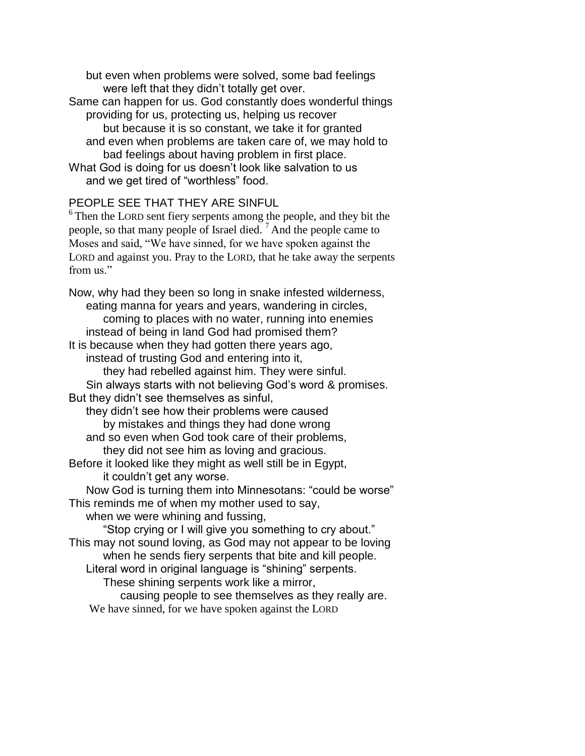but even when problems were solved, some bad feelings were left that they didn't totally get over.

Same can happen for us. God constantly does wonderful things providing for us, protecting us, helping us recover but because it is so constant, we take it for granted and even when problems are taken care of, we may hold to bad feelings about having problem in first place. What God is doing for us doesn't look like salvation to us and we get tired of "worthless" food.

## PEOPLE SEE THAT THEY ARE SINFUL

 $6$ <sup>6</sup> Then the LORD sent fiery serpents among the people, and they bit the people, so that many people of Israel died.  $<sup>7</sup>$  And the people came to</sup> Moses and said, "We have sinned, for we have spoken against the LORD and against you. Pray to the LORD, that he take away the serpents from us"

Now, why had they been so long in snake infested wilderness, eating manna for years and years, wandering in circles, coming to places with no water, running into enemies instead of being in land God had promised them? It is because when they had gotten there years ago, instead of trusting God and entering into it, they had rebelled against him. They were sinful. Sin always starts with not believing God's word & promises. But they didn't see themselves as sinful, they didn't see how their problems were caused by mistakes and things they had done wrong and so even when God took care of their problems, they did not see him as loving and gracious. Before it looked like they might as well still be in Egypt, it couldn't get any worse. Now God is turning them into Minnesotans: "could be worse" This reminds me of when my mother used to say, when we were whining and fussing, "Stop crying or I will give you something to cry about." This may not sound loving, as God may not appear to be loving when he sends fiery serpents that bite and kill people. Literal word in original language is "shining" serpents. These shining serpents work like a mirror, causing people to see themselves as they really are. We have sinned, for we have spoken against the LORD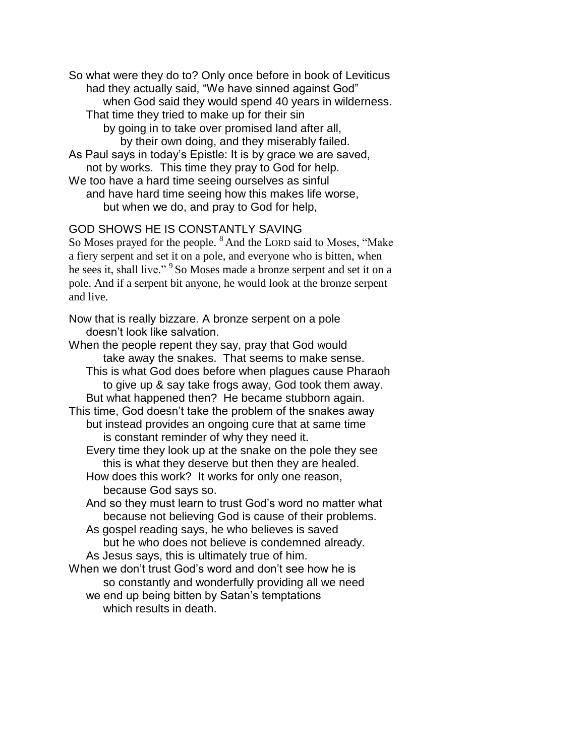So what were they do to? Only once before in book of Leviticus had they actually said, "We have sinned against God" when God said they would spend 40 years in wilderness. That time they tried to make up for their sin by going in to take over promised land after all, by their own doing, and they miserably failed. As Paul says in today's Epistle: It is by grace we are saved, not by works. This time they pray to God for help. We too have a hard time seeing ourselves as sinful and have hard time seeing how this makes life worse, but when we do, and pray to God for help,

## GOD SHOWS HE IS CONSTANTLY SAVING

So Moses prayed for the people. <sup>8</sup> And the LORD said to Moses, "Make a fiery serpent and set it on a pole, and everyone who is bitten, when he sees it, shall live." <sup>9</sup>So Moses made a bronze serpent and set it on a pole. And if a serpent bit anyone, he would look at the bronze serpent and live.

Now that is really bizzare. A bronze serpent on a pole doesn't look like salvation.

When the people repent they say, pray that God would take away the snakes. That seems to make sense. This is what God does before when plagues cause Pharaoh to give up & say take frogs away, God took them away. But what happened then? He became stubborn again. This time, God doesn't take the problem of the snakes away but instead provides an ongoing cure that at same time is constant reminder of why they need it. Every time they look up at the snake on the pole they see this is what they deserve but then they are healed. How does this work? It works for only one reason, because God says so. And so they must learn to trust God's word no matter what because not believing God is cause of their problems. As gospel reading says, he who believes is saved but he who does not believe is condemned already. As Jesus says, this is ultimately true of him. When we don't trust God's word and don't see how he is so constantly and wonderfully providing all we need we end up being bitten by Satan's temptations

which results in death.